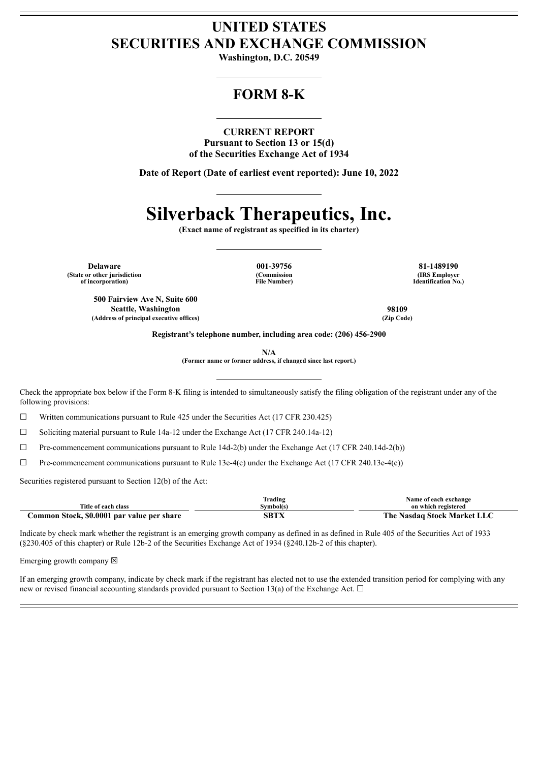## **UNITED STATES SECURITIES AND EXCHANGE COMMISSION**

**Washington, D.C. 20549**

## **FORM 8-K**

#### **CURRENT REPORT**

**Pursuant to Section 13 or 15(d) of the Securities Exchange Act of 1934**

**Date of Report (Date of earliest event reported): June 10, 2022**

# **Silverback Therapeutics, Inc.**

**(Exact name of registrant as specified in its charter)**

**Delaware 001-39756 81-1489190 (State or other jurisdiction of incorporation)**

**500 Fairview Ave N, Suite 600**

**(Commission File Number)**

**(IRS Employer Identification No.)**

**Seattle, Washington 98109 (Address of principal executive offices) (Zip Code)**

**Registrant's telephone number, including area code: (206) 456-2900**

**N/A**

**(Former name or former address, if changed since last report.)**

Check the appropriate box below if the Form 8-K filing is intended to simultaneously satisfy the filing obligation of the registrant under any of the following provisions:

☐ Written communications pursuant to Rule 425 under the Securities Act (17 CFR 230.425)

 $\Box$  Soliciting material pursuant to Rule 14a-12 under the Exchange Act (17 CFR 240.14a-12)

 $\Box$  Pre-commencement communications pursuant to Rule 14d-2(b) under the Exchange Act (17 CFR 240.14d-2(b))

 $\Box$  Pre-commencement communications pursuant to Rule 13e-4(c) under the Exchange Act (17 CFR 240.13e-4(c))

Securities registered pursuant to Section 12(b) of the Act:

|                                            | Trading           | Name of each exchange                   |
|--------------------------------------------|-------------------|-----------------------------------------|
| Title of each class                        | <b>Symbol</b> (s) | on which registered                     |
| Common Stock, \$0,0001 par value per share | <b>SBTX</b>       | The 1<br><b>Nasdag Stock Market LLC</b> |

Indicate by check mark whether the registrant is an emerging growth company as defined in as defined in Rule 405 of the Securities Act of 1933 (§230.405 of this chapter) or Rule 12b-2 of the Securities Exchange Act of 1934 (§240.12b-2 of this chapter).

Emerging growth company  $\boxtimes$ 

If an emerging growth company, indicate by check mark if the registrant has elected not to use the extended transition period for complying with any new or revised financial accounting standards provided pursuant to Section 13(a) of the Exchange Act.  $\Box$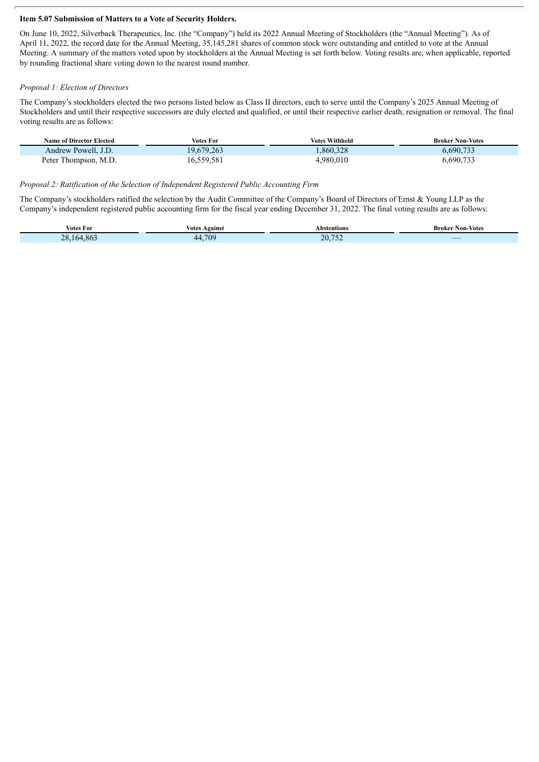#### **Item 5.07 Submission of Matters to a Vote of Security Holders.**

On June 10, 2022, Silverback Therapeutics, Inc. (the "Company") held its 2022 Annual Meeting of Stockholders (the "Annual Meeting"). As of April 11, 2022, the record date for the Annual Meeting, 35,145,281 shares of common stock were outstanding and entitled to vote at the Annual Meeting. A summary of the matters voted upon by stockholders at the Annual Meeting is set forth below. Voting results are, when applicable, reported by rounding fractional share voting down to the nearest round number.

#### *Proposal 1: Election of Directors*

The Company's stockholders elected the two persons listed below as Class II directors, each to serve until the Company's 2025 Annual Meeting of Stockholders and until their respective successors are duly elected and qualified, or until their respective earlier death, resignation or removal. The final voting results are as follows:

| <b>Name of Director Elected</b> | Votes For  | Votes Withheld | <b>Broker Non-Votes</b> |
|---------------------------------|------------|----------------|-------------------------|
| Andrew Powell, J.D.             | 19,679,263 | .860,328       | 6,690,733               |
| Peter Thompson, M.D.            | 16,559,581 | 4,980,010      | 6,690,733               |

#### *Proposal 2: Ratification of the Selection of Independent Registered Public Accounting Firm*

The Company's stockholders ratified the selection by the Audit Committee of the Company's Board of Directors of Ernst & Young LLP as the Company's independent registered public accounting firm for the fiscal year ending December 31, 2022. The final voting results are as follows:

| votes For                                             | Against<br>votes | Abstentions                                | Non-Votes<br>Broker |
|-------------------------------------------------------|------------------|--------------------------------------------|---------------------|
| $\sim$ $\sim$<br>ററ<br>$\sim$<br>- 80.<br>$\sim$<br>- | 700<br>44        | $\overline{a}$<br>$20^{\circ}$<br>$-$<br>. | _                   |